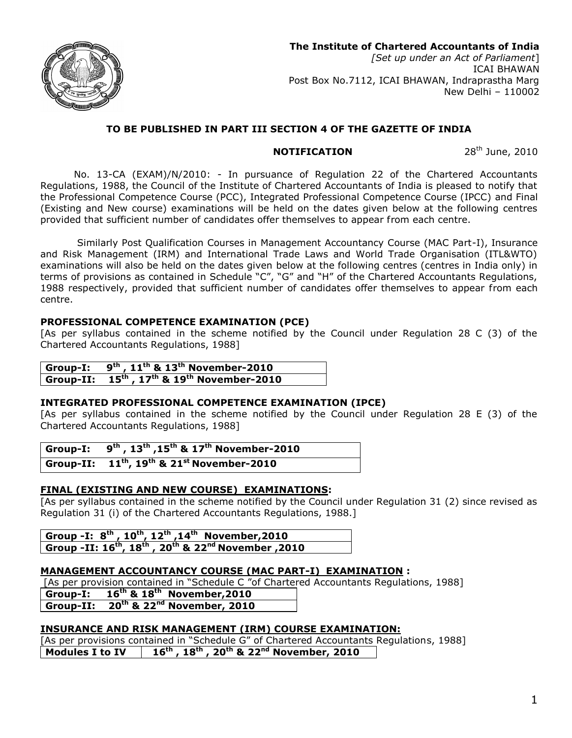

# **TO BE PUBLISHED IN PART III SECTION 4 OF THE GAZETTE OF INDIA**

### **NOTIFICATION** 28<sup>th</sup> June, 2010

No. 13-CA (EXAM)/N/2010: - In pursuance of Regulation 22 of the Chartered Accountants Regulations, 1988, the Council of the Institute of Chartered Accountants of India is pleased to notify that the Professional Competence Course (PCC), Integrated Professional Competence Course (IPCC) and Final (Existing and New course) examinations will be held on the dates given below at the following centres provided that sufficient number of candidates offer themselves to appear from each centre.

 Similarly Post Qualification Courses in Management Accountancy Course (MAC Part-I), Insurance and Risk Management (IRM) and International Trade Laws and World Trade Organisation (ITL&WTO) examinations will also be held on the dates given below at the following centres (centres in India only) in terms of provisions as contained in Schedule "C", "G" and "H" of the Chartered Accountants Regulations, 1988 respectively, provided that sufficient number of candidates offer themselves to appear from each centre.

## **PROFESSIONAL COMPETENCE EXAMINATION (PCE)**

[As per syllabus contained in the scheme notified by the Council under Regulation 28 C (3) of the Chartered Accountants Regulations, 1988]

| Group-I: $9^{th}$ , 11 <sup>th</sup> & 13 <sup>th</sup> November-2010 |
|-----------------------------------------------------------------------|
| Group-II: $15^{th}$ , $17^{th}$ & $19^{th}$ November-2010             |

## **INTEGRATED PROFESSIONAL COMPETENCE EXAMINATION (IPCE)**

[As per syllabus contained in the scheme notified by the Council under Regulation 28 E (3) of the Chartered Accountants Regulations, 1988]

| Group-I: $9^{th}$ , $13^{th}$ , $15^{th}$ & $17^{th}$ November-2010 |
|---------------------------------------------------------------------|
| Group-II: $11^{th}$ , $19^{th}$ & $21^{st}$ November-2010           |

## **FINAL (EXISTING AND NEW COURSE) EXAMINATIONS:**

[As per syllabus contained in the scheme notified by the Council under Regulation 31 (2) since revised as Regulation 31 (i) of the Chartered Accountants Regulations, 1988.]

**Group -I: 8 th , 10th , 12th ,14th November,2010 Group -II: 16 th , 18 th , 20th & 22nd November ,2010**

## **MANAGEMENT ACCOUNTANCY COURSE (MAC PART-I) EXAMINATION :**

[As per provision contained in "Schedule C "of Chartered Accountants Regulations, 1988]

**Group-I: 16 th & 18 th November,2010**

**Group-II: 20th & 22nd November, 2010**

# **INSURANCE AND RISK MANAGEMENT (IRM) COURSE EXAMINATION:**

[As per provisions contained in "Schedule G" of Chartered Accountants Regulations, 1988] **Modules I to IV th , 18 th , 20th & 22nd November, 2010**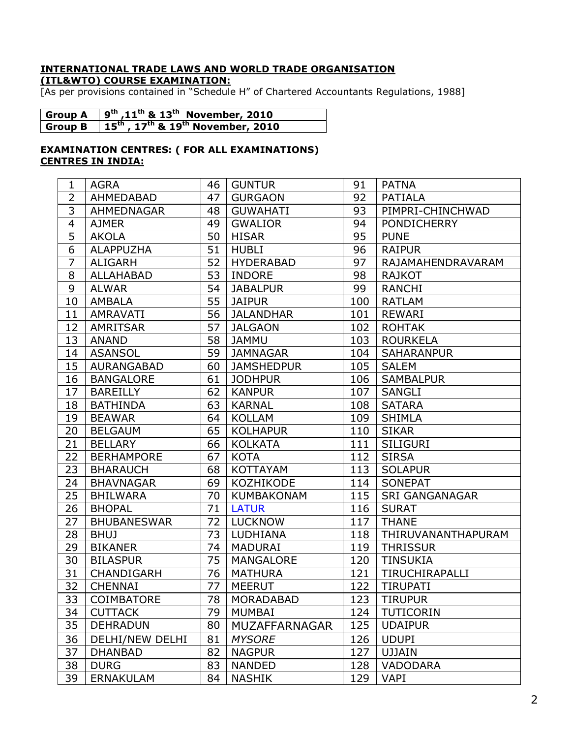### **INTERNATIONAL TRADE LAWS AND WORLD TRADE ORGANISATION (ITL&WTO) COURSE EXAMINATION:**

[As per provisions contained in "Schedule H" of Chartered Accountants Regulations, 1988]

| Group A $\left(9^{th},11^{th}\& 13^{th}\right)$ November, 2010                       |
|--------------------------------------------------------------------------------------|
| Group B $\,$   15 <sup>th</sup> , 17 <sup>th</sup> & 19 <sup>th</sup> November, 2010 |

## **EXAMINATION CENTRES: ( FOR ALL EXAMINATIONS) CENTRES IN INDIA:**

| 1                       | <b>AGRA</b>        | 46 | <b>GUNTUR</b>     | 91  | <b>PATNA</b>          |
|-------------------------|--------------------|----|-------------------|-----|-----------------------|
| $\overline{2}$          | AHMEDABAD          | 47 | <b>GURGAON</b>    | 92  | <b>PATIALA</b>        |
| 3                       | <b>AHMEDNAGAR</b>  | 48 | <b>GUWAHATI</b>   | 93  | PIMPRI-CHINCHWAD      |
| $\overline{\mathbf{4}}$ | <b>AJMER</b>       | 49 | <b>GWALIOR</b>    | 94  | <b>PONDICHERRY</b>    |
| $\overline{5}$          | <b>AKOLA</b>       | 50 | <b>HISAR</b>      | 95  | <b>PUNE</b>           |
| $\overline{6}$          | <b>ALAPPUZHA</b>   | 51 | <b>HUBLI</b>      | 96  | <b>RAIPUR</b>         |
| $\overline{7}$          | <b>ALIGARH</b>     | 52 | <b>HYDERABAD</b>  | 97  | RAJAMAHENDRAVARAM     |
| 8                       | <b>ALLAHABAD</b>   | 53 | <b>INDORE</b>     | 98  | <b>RAJKOT</b>         |
| $\overline{9}$          | <b>ALWAR</b>       | 54 | <b>JABALPUR</b>   | 99  | <b>RANCHI</b>         |
| 10                      | <b>AMBALA</b>      | 55 | <b>JAIPUR</b>     | 100 | <b>RATLAM</b>         |
| 11                      | <b>AMRAVATI</b>    | 56 | <b>JALANDHAR</b>  | 101 | <b>REWARI</b>         |
| 12                      | <b>AMRITSAR</b>    | 57 | <b>JALGAON</b>    | 102 | <b>ROHTAK</b>         |
| 13                      | <b>ANAND</b>       | 58 | <b>JAMMU</b>      | 103 | <b>ROURKELA</b>       |
| 14                      | <b>ASANSOL</b>     | 59 | <b>JAMNAGAR</b>   | 104 | <b>SAHARANPUR</b>     |
| 15                      | <b>AURANGABAD</b>  | 60 | <b>JAMSHEDPUR</b> | 105 | <b>SALEM</b>          |
| 16                      | <b>BANGALORE</b>   | 61 | <b>JODHPUR</b>    | 106 | <b>SAMBALPUR</b>      |
| 17                      | <b>BAREILLY</b>    | 62 | <b>KANPUR</b>     | 107 | <b>SANGLI</b>         |
| 18                      | <b>BATHINDA</b>    | 63 | <b>KARNAL</b>     | 108 | <b>SATARA</b>         |
| 19                      | <b>BEAWAR</b>      | 64 | <b>KOLLAM</b>     | 109 | <b>SHIMLA</b>         |
| 20                      | <b>BELGAUM</b>     | 65 | <b>KOLHAPUR</b>   | 110 | <b>SIKAR</b>          |
| 21                      | <b>BELLARY</b>     | 66 | <b>KOLKATA</b>    | 111 | <b>SILIGURI</b>       |
| 22                      | <b>BERHAMPORE</b>  | 67 | <b>KOTA</b>       | 112 | <b>SIRSA</b>          |
| 23                      | <b>BHARAUCH</b>    | 68 | <b>KOTTAYAM</b>   | 113 | <b>SOLAPUR</b>        |
| 24                      | <b>BHAVNAGAR</b>   | 69 | <b>KOZHIKODE</b>  | 114 | <b>SONEPAT</b>        |
| 25                      | <b>BHILWARA</b>    | 70 | <b>KUMBAKONAM</b> | 115 | <b>SRI GANGANAGAR</b> |
| 26                      | <b>BHOPAL</b>      | 71 | <b>LATUR</b>      | 116 | <b>SURAT</b>          |
| 27                      | <b>BHUBANESWAR</b> | 72 | <b>LUCKNOW</b>    | 117 | <b>THANE</b>          |
| 28                      | <b>BHUJ</b>        | 73 | LUDHIANA          | 118 | THIRUVANANTHAPURAM    |
| 29                      | <b>BIKANER</b>     | 74 | <b>MADURAI</b>    | 119 | <b>THRISSUR</b>       |
| 30                      | <b>BILASPUR</b>    | 75 | <b>MANGALORE</b>  | 120 | <b>TINSUKIA</b>       |
| 31                      | CHANDIGARH         | 76 | <b>MATHURA</b>    | 121 | TIRUCHIRAPALLI        |
| 32                      | <b>CHENNAI</b>     | 77 | <b>MEERUT</b>     | 122 | <b>TIRUPATI</b>       |
| $\overline{33}$         | COIMBATORE         | 78 | MORADABAD         | 123 | <b>TIRUPUR</b>        |
| 34                      | <b>CUTTACK</b>     | 79 | <b>MUMBAI</b>     | 124 | <b>TUTICORIN</b>      |
| 35                      | <b>DEHRADUN</b>    | 80 | MUZAFFARNAGAR     | 125 | <b>UDAIPUR</b>        |
| 36                      | DELHI/NEW DELHI    | 81 | <b>MYSORE</b>     | 126 | <b>UDUPI</b>          |
| 37                      | <b>DHANBAD</b>     | 82 | <b>NAGPUR</b>     | 127 | <b>UJJAIN</b>         |
| 38                      | <b>DURG</b>        | 83 | <b>NANDED</b>     | 128 | <b>VADODARA</b>       |
| 39                      | <b>ERNAKULAM</b>   | 84 | <b>NASHIK</b>     | 129 | <b>VAPI</b>           |
|                         |                    |    |                   |     |                       |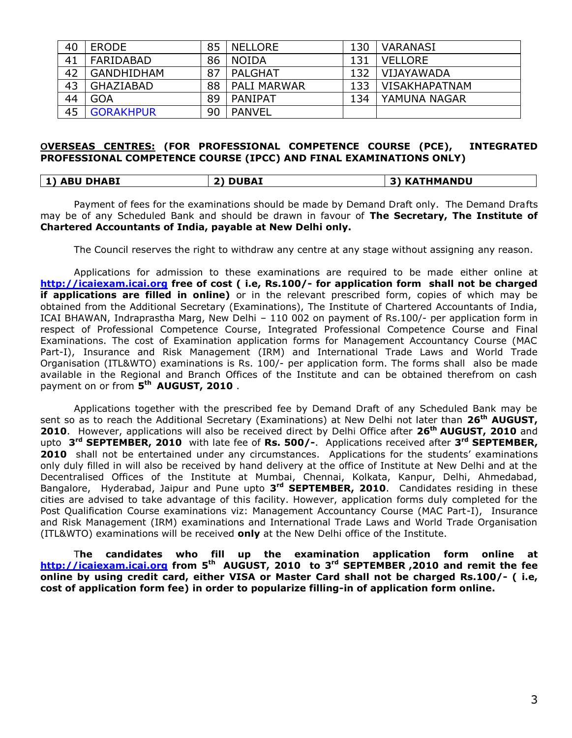| 40 | <b>ERODE</b>      | 85 | <b>NELLORE</b> | 130 | <b>VARANASI</b>      |
|----|-------------------|----|----------------|-----|----------------------|
| 41 | FARIDABAD         | 86 | NOIDA          | 131 | VELLORE              |
| 42 | <b>GANDHIDHAM</b> | 87 | PALGHAT        | 132 | VIJAYAWADA           |
| 43 | GHAZIABAD         | 88 | I PALI MARWAR  | 133 | <b>VISAKHAPATNAM</b> |
| 44 | <b>GOA</b>        | 89 | PANIPAT        | 134 | YAMUNA NAGAR         |
| 45 | <b>GORAKHPUR</b>  | 90 | PANVEL         |     |                      |

#### **OVERSEAS CENTRES: (FOR PROFESSIONAL COMPETENCE COURSE (PCE), INTEGRATED PROFESSIONAL COMPETENCE COURSE (IPCC) AND FINAL EXAMINATIONS ONLY)**

| <b>ABU DHABI</b> | <b>DUBAI</b><br>יר | <b>KATHMANDU</b><br>31 |
|------------------|--------------------|------------------------|
|------------------|--------------------|------------------------|

Payment of fees for the examinations should be made by Demand Draft only. The Demand Drafts may be of any Scheduled Bank and should be drawn in favour of **The Secretary, The Institute of Chartered Accountants of India, payable at New Delhi only.**

The Council reserves the right to withdraw any centre at any stage without assigning any reason.

Applications for admission to these examinations are required to be made either online at **http://icaiexam.icai.org free of cost ( i.e, Rs.100/- for application form shall not be charged if applications are filled in online)** or in the relevant prescribed form, copies of which may be obtained from the Additional Secretary (Examinations), The Institute of Chartered Accountants of India, ICAI BHAWAN, Indraprastha Marg, New Delhi – 110 002 on payment of Rs.100/- per application form in respect of Professional Competence Course, Integrated Professional Competence Course and Final Examinations. The cost of Examination application forms for Management Accountancy Course (MAC Part-I), Insurance and Risk Management (IRM) and International Trade Laws and World Trade Organisation (ITL&WTO) examinations is Rs. 100/- per application form. The forms shall also be made available in the Regional and Branch Offices of the Institute and can be obtained therefrom on cash payment on or from **5 th AUGUST, 2010** .

Applications together with the prescribed fee by Demand Draft of any Scheduled Bank may be sent so as to reach the Additional Secretary (Examinations) at New Delhi not later than **26th AUGUST, 2010**. However, applications will also be received direct by Delhi Office after **26th AUGUST, 2010** and upto **3 rd SEPTEMBER, 2010** with late fee of **Rs. 500/-**. Applications received after **3 rd SEPTEMBER, 2010** shall not be entertained under any circumstances. Applications for the students' examinations only duly filled in will also be received by hand delivery at the office of Institute at New Delhi and at the Decentralised Offices of the Institute at Mumbai, Chennai, Kolkata, Kanpur, Delhi, Ahmedabad, Bangalore, Hyderabad, Jaipur and Pune upto **3 rd SEPTEMBER, 2010**. Candidates residing in these cities are advised to take advantage of this facility. However, application forms duly completed for the Post Qualification Course examinations viz: Management Accountancy Course (MAC Part-I), Insurance and Risk Management (IRM) examinations and International Trade Laws and World Trade Organisation (ITL&WTO) examinations will be received **only** at the New Delhi office of the Institute.

T**he candidates who fill up the examination application form online at http://icaiexam.icai.org from 5 th AUGUST, 2010 to 3 rd SEPTEMBER ,2010 and remit the fee online by using credit card, either VISA or Master Card shall not be charged Rs.100/- ( i.e, cost of application form fee) in order to popularize filling-in of application form online.**